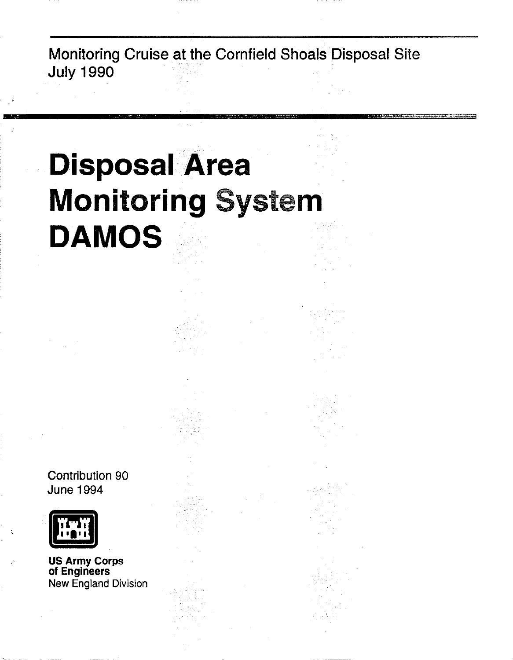# **Disposal Area Monitoring** System **DAMOS**

Contribution 90 June 1994



**=** 

US Army Corps of Engineers New England Division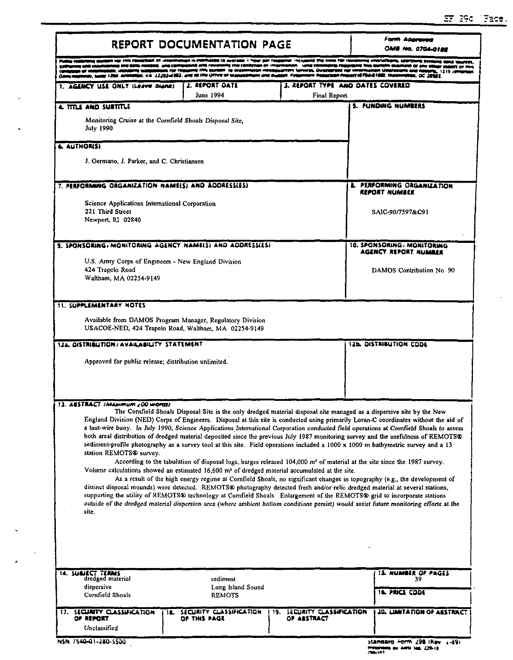$\ddot{\phantom{a}}$ 

|                                                                                                                                                                                                                                                                                                                                                                                                                                                  | REPORT DOCUMENTATION PAGE               | Form Abaraved<br>I NG 0704-0122                   |                                                                                                                                                                                                                                                                                                                                                                                                                                                                                                                                                                                                                                                                          |  |  |  |
|--------------------------------------------------------------------------------------------------------------------------------------------------------------------------------------------------------------------------------------------------------------------------------------------------------------------------------------------------------------------------------------------------------------------------------------------------|-----------------------------------------|---------------------------------------------------|--------------------------------------------------------------------------------------------------------------------------------------------------------------------------------------------------------------------------------------------------------------------------------------------------------------------------------------------------------------------------------------------------------------------------------------------------------------------------------------------------------------------------------------------------------------------------------------------------------------------------------------------------------------------------|--|--|--|
|                                                                                                                                                                                                                                                                                                                                                                                                                                                  | IN 18 Augustus 1 hour apr rous          | mer -neward the time for recor                    | da umarachada, saada<br>DC 28531                                                                                                                                                                                                                                                                                                                                                                                                                                                                                                                                                                                                                                         |  |  |  |
| AGENCY USE ONLY (Leave Diana)                                                                                                                                                                                                                                                                                                                                                                                                                    | 2. REPORT DATE<br>June 1994             | 3. REPORT TYPE "AND DATES COVERED<br>Final Report |                                                                                                                                                                                                                                                                                                                                                                                                                                                                                                                                                                                                                                                                          |  |  |  |
| 4. TITLE AND SUBTITLE                                                                                                                                                                                                                                                                                                                                                                                                                            |                                         |                                                   | <b>5. FUNDING NUMBERS</b>                                                                                                                                                                                                                                                                                                                                                                                                                                                                                                                                                                                                                                                |  |  |  |
| Monitoring Cruise at the Cornfield Shoals Disposal Site,<br><b>July 1990</b>                                                                                                                                                                                                                                                                                                                                                                     |                                         |                                                   |                                                                                                                                                                                                                                                                                                                                                                                                                                                                                                                                                                                                                                                                          |  |  |  |
| <b>6. AUTHORISI</b>                                                                                                                                                                                                                                                                                                                                                                                                                              |                                         |                                                   |                                                                                                                                                                                                                                                                                                                                                                                                                                                                                                                                                                                                                                                                          |  |  |  |
| J. Germano, J. Parker, and C. Christiansen                                                                                                                                                                                                                                                                                                                                                                                                       |                                         |                                                   |                                                                                                                                                                                                                                                                                                                                                                                                                                                                                                                                                                                                                                                                          |  |  |  |
| 7. PERFORMING ORGANIZATION NAME(S) AND ADDRESS(ES)                                                                                                                                                                                                                                                                                                                                                                                               |                                         |                                                   | <b>8. PERFORMING ORGANIZATION</b><br>REPORT NUMBER                                                                                                                                                                                                                                                                                                                                                                                                                                                                                                                                                                                                                       |  |  |  |
| Science Applications International Corporation                                                                                                                                                                                                                                                                                                                                                                                                   |                                         |                                                   |                                                                                                                                                                                                                                                                                                                                                                                                                                                                                                                                                                                                                                                                          |  |  |  |
| 221 Third Street<br>Newport, RI 02840                                                                                                                                                                                                                                                                                                                                                                                                            |                                         |                                                   | SAIC-90/7597&C91                                                                                                                                                                                                                                                                                                                                                                                                                                                                                                                                                                                                                                                         |  |  |  |
| 9. SPONSORING, MONITORING AGENCY NAME(S) AND ADDRESSIES)                                                                                                                                                                                                                                                                                                                                                                                         |                                         |                                                   | 10. SPONSORING / MONITORING                                                                                                                                                                                                                                                                                                                                                                                                                                                                                                                                                                                                                                              |  |  |  |
|                                                                                                                                                                                                                                                                                                                                                                                                                                                  |                                         |                                                   | AGENCY REPORT NUMBER                                                                                                                                                                                                                                                                                                                                                                                                                                                                                                                                                                                                                                                     |  |  |  |
| U.S. Army Corps of Engineers - New England Division<br>424 Trapelo Road                                                                                                                                                                                                                                                                                                                                                                          |                                         |                                                   | DAMOS Contribution No. 90                                                                                                                                                                                                                                                                                                                                                                                                                                                                                                                                                                                                                                                |  |  |  |
| Waltham, MA 02254-9149                                                                                                                                                                                                                                                                                                                                                                                                                           |                                         |                                                   |                                                                                                                                                                                                                                                                                                                                                                                                                                                                                                                                                                                                                                                                          |  |  |  |
| <b>11. SUPPLEMENTARY NOTES</b><br>Available from DAMOS Program Manager, Regulatory Division<br>USACOE-NED, 424 Trapelo Road, Waltham, MA 02254-9149                                                                                                                                                                                                                                                                                              |                                         |                                                   |                                                                                                                                                                                                                                                                                                                                                                                                                                                                                                                                                                                                                                                                          |  |  |  |
| 122. OISTRIBUTION/AVAILABILITY STATEMENT                                                                                                                                                                                                                                                                                                                                                                                                         |                                         |                                                   | <b>12b. DISTRIBUTION CODE</b>                                                                                                                                                                                                                                                                                                                                                                                                                                                                                                                                                                                                                                            |  |  |  |
| Approved for public release; distribution unlimited.                                                                                                                                                                                                                                                                                                                                                                                             |                                         |                                                   |                                                                                                                                                                                                                                                                                                                                                                                                                                                                                                                                                                                                                                                                          |  |  |  |
|                                                                                                                                                                                                                                                                                                                                                                                                                                                  |                                         |                                                   |                                                                                                                                                                                                                                                                                                                                                                                                                                                                                                                                                                                                                                                                          |  |  |  |
| 13. ABSTRACT IMAJIMUM 200 WORD)<br>station REMOTS® survey.<br>Volume calculations showed an estimated 16,600 m <sup>3</sup> of dredged material accumulated at the site.<br>distinct disposal mounds) were detected. REMOTS® photography detected fresh and/or relic dredged material at several stations,<br>supporting the utility of REMOTS® technology at Cornfield Shoals. Enlargement of the REMOTS® grid to incorporate stations<br>site. |                                         |                                                   | The Comfreid Shoals Disposal Site is the only dredged material disposal site managed as a dispersive site by the New<br>sediment-profile photography as a survey tool at this site. Field operations included a 1000 x 1000 m bathymetric survey and a 13<br>According to the tabulation of disposal logs, barges released 104,000 m <sup>3</sup> of material at the site since the 1987 survey.<br>As a result of the high energy regime at Cornfield Shoals, no significant changes in topography (e.g., the development of<br>outside of the dredged material dispersion area (where ambient bottom conditions persist) would assist future monitoring efforts at the |  |  |  |
| 14. SUBJECT TERMS                                                                                                                                                                                                                                                                                                                                                                                                                                |                                         |                                                   | 15. NUMBER OF PAGES                                                                                                                                                                                                                                                                                                                                                                                                                                                                                                                                                                                                                                                      |  |  |  |
| dredged material<br>dispersive<br>Comfield Shoals                                                                                                                                                                                                                                                                                                                                                                                                | sediment<br>Long Island Sound<br>REMOTS |                                                   | 39<br><b>16. PRICE CODE</b>                                                                                                                                                                                                                                                                                                                                                                                                                                                                                                                                                                                                                                              |  |  |  |
| 17. SECURITY CLASSIFICATION<br>18.<br>OF REPORT                                                                                                                                                                                                                                                                                                                                                                                                  | SECURITY CLASSIFICATION<br>OF THIS PAGE | SECURITY CLASSIFICATION<br>19.<br>OF ABSTRACT     | England Division (NED) Corps of Engineers. Disposal at this site is conducted using primarily Loran-C coordinates without the aid of<br>a taut-wire buoy. In July 1990, Science Applications International Corporation conducted field operations at Comfield Shoals to assess<br>both areal distribution of dredged material deposited since the previous July 1987 monitoring survey and the usefulness of REMOTS®<br><b>20. LIMITATION OF ASSTRACT</b>                                                                                                                                                                                                                |  |  |  |

 $\mathbf{t}$ 

 $\hat{\boldsymbol{\theta}}$ 

 $\mathbb{R}^2$ 

Protection by ANSI SEL 239-18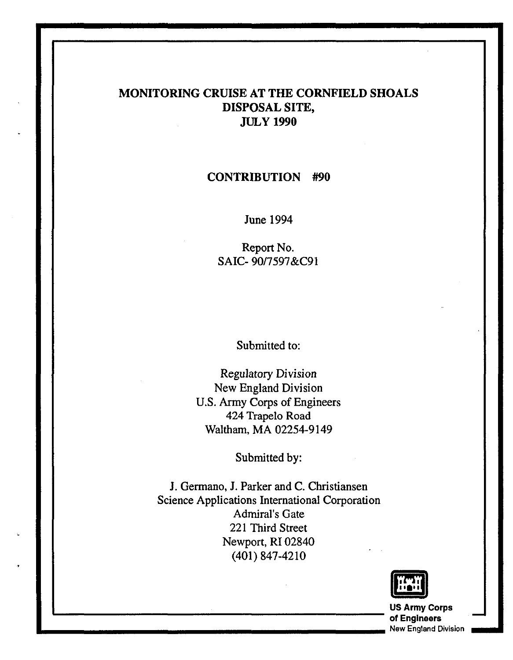## MONITORING CRUISE AT THE CORNFIELD SHOALS DISPOSAL SITE, JULy 1990

#### CONTRIBUTION #90

June 1994

Report No. SAIC- 9017597&C91

Submitted to:

Regulatory Division New England Division U.S. Army Corps of Engineers 424 Trapelo Road Waltham, MA 02254-9149

Submitted by:

J. Germano, J. Parker and C. Christiansen Science Applications International Corporation Admiral's Gate 221 Third Street Newport, RI 02840 (401) 847-4210



the contract of the contract of the contract of the contract of the contract of the contract of the contract of<br>The contract of the contract of the contract of the contract of the contract of the contract of the contract o of Engineers - **.. \_\_\_\_\_\_\_\_\_\_\_\_\_\_\_\_\_\_\_\_\_\_\_\_** New England Division **\_ ..**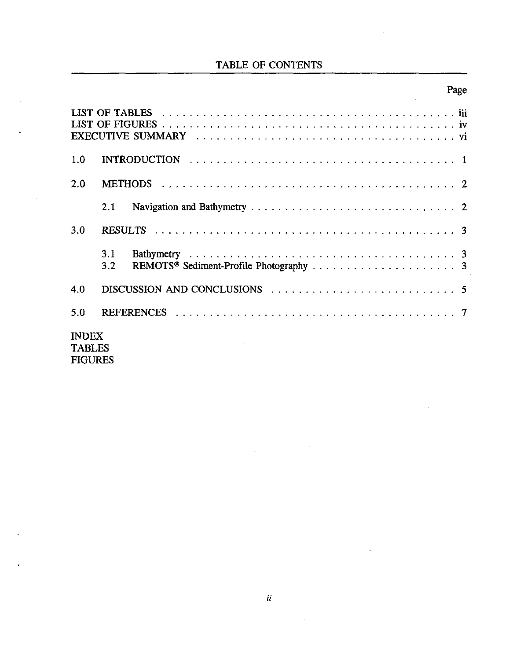## TABLE OF CONTENTS

## Page

| 1.0                           |            |                                                                                                    |  |  |  |  |  |  |  |  |  |  |  |
|-------------------------------|------------|----------------------------------------------------------------------------------------------------|--|--|--|--|--|--|--|--|--|--|--|
| 2.0                           |            |                                                                                                    |  |  |  |  |  |  |  |  |  |  |  |
|                               | 2.1        |                                                                                                    |  |  |  |  |  |  |  |  |  |  |  |
| 3.0                           |            |                                                                                                    |  |  |  |  |  |  |  |  |  |  |  |
|                               | 3.1<br>3.2 |                                                                                                    |  |  |  |  |  |  |  |  |  |  |  |
| 4.0                           |            | DISCUSSION AND CONCLUSIONS $\ldots \ldots \ldots \ldots \ldots \ldots \ldots \ldots \ldots \ldots$ |  |  |  |  |  |  |  |  |  |  |  |
| 5.0                           |            |                                                                                                    |  |  |  |  |  |  |  |  |  |  |  |
| <b>INDEX</b><br><b>TABLES</b> |            |                                                                                                    |  |  |  |  |  |  |  |  |  |  |  |

FIGURES

 $\overline{\phantom{a}}$ 

 $\overline{a}$ 

 $\bar{\mathcal{A}}$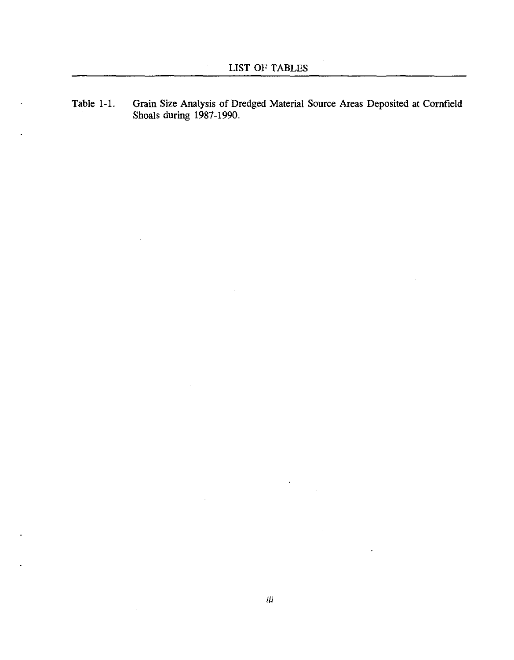Table 1-1. Grain Size Analysis of Dredged Material Source Areas Deposited at Cornfield Shoals during 1987-1990.

l.

 $\bar{\mathbf{v}}$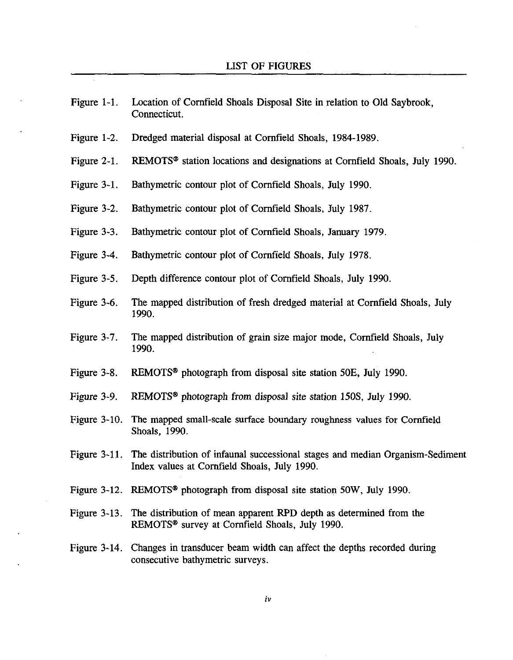| Figure $1-1$ .  | Location of Cornfield Shoals Disposal Site in relation to Old Saybrook,<br>Connecticut.                                                       |
|-----------------|-----------------------------------------------------------------------------------------------------------------------------------------------|
| Figure $1-2$ .  | Dredged material disposal at Cornfield Shoals, 1984-1989.                                                                                     |
| Figure $2-1$ .  | REMOTS <sup>®</sup> station locations and designations at Cornfield Shoals, July 1990.                                                        |
| Figure $3-1$ .  | Bathymetric contour plot of Cornfield Shoals, July 1990.                                                                                      |
| Figure 3-2.     | Bathymetric contour plot of Cornfield Shoals, July 1987.                                                                                      |
| Figure 3-3.     | Bathymetric contour plot of Cornfield Shoals, January 1979.                                                                                   |
| Figure $3-4$    | Bathymetric contour plot of Cornfield Shoals, July 1978.                                                                                      |
| Figure $3-5$ .  | Depth difference contour plot of Cornfield Shoals, July 1990.                                                                                 |
| Figure 3-6.     | The mapped distribution of fresh dredged material at Cornfield Shoals, July<br>1990.                                                          |
| Figure 3-7.     | The mapped distribution of grain size major mode, Cornfield Shoals, July<br>1990.                                                             |
| Figure 3-8.     | REMOTS <sup>®</sup> photograph from disposal site station 50E, July 1990.                                                                     |
| Figure 3-9.     | REMOTS <sup>®</sup> photograph from disposal site station 150S, July 1990.                                                                    |
| Figure $3-10$ . | The mapped small-scale surface boundary roughness values for Cornfield<br>Shoals, 1990.                                                       |
| Figure $3-11$ . | The distribution of infaunal successional stages and median Organism-Sediment<br>Index values at Cornfield Shoals, July 1990.                 |
|                 | Figure 3-12. REMOTS <sup>®</sup> photograph from disposal site station 50W, July 1990.                                                        |
|                 | Figure 3-13. The distribution of mean apparent RPD depth as determined from the<br>REMOTS <sup>®</sup> survey at Cornfield Shoals, July 1990. |
|                 | Figure 3-14. Changes in transducer beam width can affect the depths recorded during<br>consecutive bathymetric surveys.                       |
|                 |                                                                                                                                               |

 $\bar{z}$ 

 $\sim$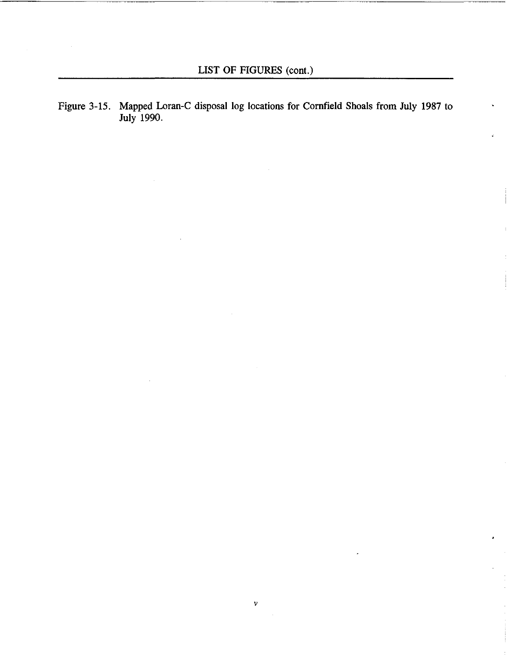Figure 3-15. Mapped Loran-C disposal log locations for Cornfield Shoals from July 1987 to July 1990.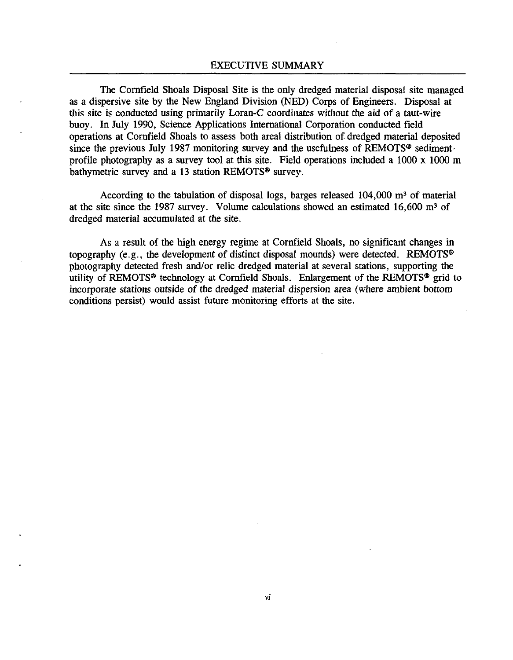The Cornfield Shoals Disposal Site is the only dredged material disposal site managed as a dispersive site by the New England Division (NED) Corps of Engineers. Disposal at this site is conducted using primarily Loran-C coordinates without the aid of a taut-wire buoy. In July 1990, Science Applications International Corporation conducted field operations at Cornfield Shoals to assess both areal distribution of dredged material deposited since the previous July 1987 monitoring survey and the usefulness of REMOTS<sup>®</sup> sedimentprofile photography as a survey tool at this site. Field operations included a 1000 x 1000 m bathymetric survey and a 13 station REMOTS® survey.

According to the tabulation of disposal logs, barges released  $104,000$  m<sup>3</sup> of material at the site since the 1987 survey. Volume calculations showed an estimated 16,600 m3 of dredged material accumulated at the site.

As a result of the high energy regime at Cornfield Shoals, no significant changes in topography (e.g., the development of distinct disposal mounds) were detected. REMOTS® photography detected fresh and/or relic dredged material at several stations, supporting the utility of REMOTS<sup>®</sup> technology at Cornfield Shoals. Enlargement of the REMOTS<sup>®</sup> grid to incorporate stations outside of the dredged material dispersion area (where ambient bottom conditions persist) would assist future monitoring efforts at the site.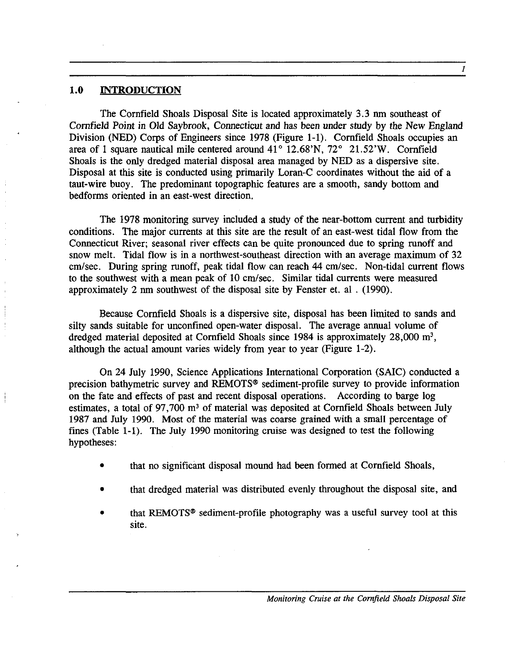#### **1.0 INTRODUCTION**

The Cornfield Shoals Disposal Site is located approximately 3.3 nm southeast of Cornfield Point in Old Saybrook, Connecticut and has been under study by the New England Division (NED) Corps of Engineers since 1978 (Figure 1-1). Cornfield Shoals occupies an area of 1 square nautical mile centered around  $41^\circ$  12.68'N,  $72^\circ$  21.52'W. Cornfield Shoals is the only dredged material disposal area managed by NED as a dispersive site. Disposal at this site is conducted using primarily Loran-C coordinates without the aid of a taut-wire buoy. The predominant topographic features are a smooth, sandy bottom and bedforms oriented in an east-west direction.

The 1978 monitoring survey included a study of the near-bottom current and turbidity conditions. The major currents at this site are the result of an east-west tidal flow from the Connecticut River; seasonal river effects can be quite pronounced due to spring runoff and snow melt. Tidal flow is in a northwest-southeast direction with an average maximum of 32 *cm/sec.* During spring runoff, peak tidal flow can reach 44 *cm/sec.* Non-tidal current flows to the southwest with a mean peak of 10 *cm/sec.* Similar tidal currents were measured approximately 2 nm southwest of the disposal site by Fenster et. al. (1990).

Because Cornfield Shoals is a dispersive site, disposal has been limited to sands and silty sands suitable for unconfined open-water disposal. The average annual volume of dredged material deposited at Cornfield Shoals since 1984 is approximately 28,000 m3, although the actual amount varies widely from year to year (Figure 1-2).

On 24 July 1990, Science Applications International Corporation (SAIC) conducted a precision bathymetric survey and REMOTS® sediment-profile survey to provide information on the fate and effects of past and recent disposal operations. According to barge log estimates, a total of 97,700 m<sup>3</sup> of material was deposited at Cornfield Shoals between July 1987 and July 1990. Most of the material was coarse grained with a small percentage of fines (Table 1-1). The July 1990 monitoring cruise was designed to test the following hypotheses:

- that no significant disposal mound had been formed at Cornfield Shoals,
- that dredged material was distributed evenly throughout the disposal site, and
- that REMOTS® sediment-profile photography was a useful survey tool at this site.

I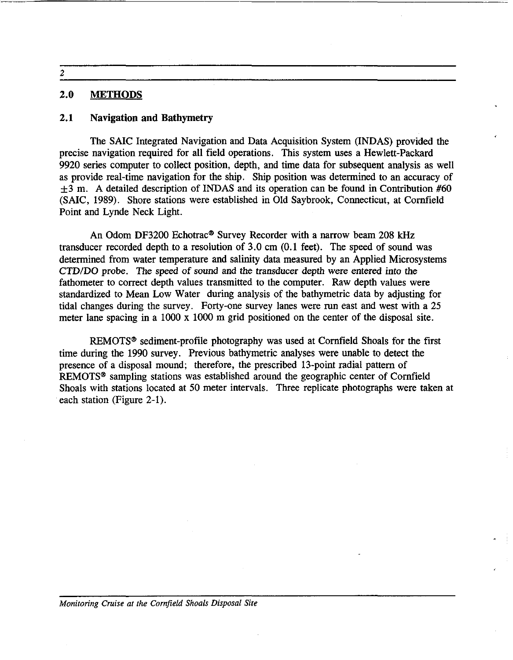2

#### 2.0 METHODS

#### 2.1 Navigation and Bathymetry

The SAIC Integrated Navigation and Data Acquisition System (INDAS) provided the precise navigation required for all field operations. This system uses a Hewlett-Packard 9920 series computer to collect position, depth, and time data for subsequent analysis as well as provide real-time navigation for the ship. Ship position was determined to an accuracy of  $\pm$ 3 m. A detailed description of INDAS and its operation can be found in Contribution #60 (SAIC, 1989). Shore stations were established in Old Saybrook, Connecticut, at Cornfield Point and Lynde Neck Light.

An Odom DF3200 Echotrac<sup>®</sup> Survey Recorder with a narrow beam 208 kHz transducer recorded depth to a resolution of 3.0 cm (0.1 feet). The speed of sound was determined from water temperature and salinity data measured by an Applied Microsystems CTD/DO probe. The speed of sound and the transducer depth were entered into the fathometer to correct depth values transmitted to the computer. Raw depth values were standardized to Mean Low Water during analysis of the bathymetric data by adjusting for tidal changes during the survey. Forty-one survey lanes were run east and west with a 25 meter lane spacing in a 1000 x 1000 m grid positioned on the center of the disposal site.

REMOTS<sup>®</sup> sediment-profile photography was used at Cornfield Shoals for the first time during the 1990 survey. Previous bathymetric analyses were unable to detect the presence of a disposal mound; therefore, the prescribed 13-point radial pattern of REMOTS<sup>®</sup> sampling stations was established around the geographic center of Cornfield Shoals with stations located at 50 meter intervals. Three replicate photographs were taken at each station (Figure 2-1).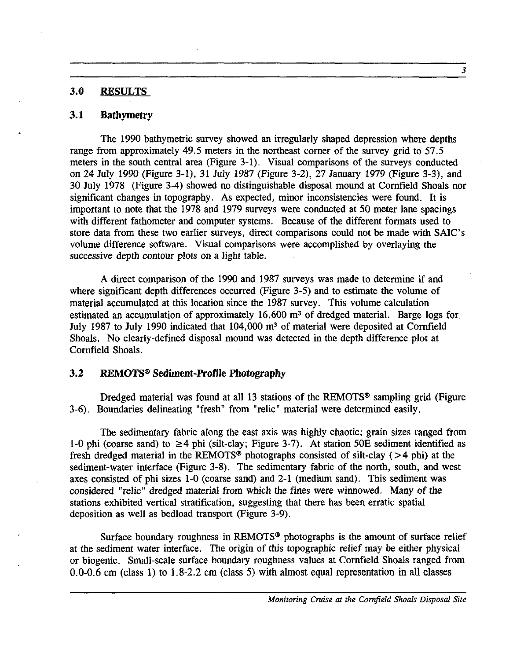#### 3.0 RESULTS

#### 3.1 Bathymetry

The 1990 bathymetric survey showed an irregularly shaped depression where depths range from approximately 49.5 meters in the northeast corner of the survey grid to  $57.\overline{5}$ meters in the south central area (Figure 3-1). Visual comparisons of the surveys conducted on 24 July 1990 (Figure 3-1), 31 July 1987 (Figure 3-2), 27 January 1979 (Figure 3-3), and 30 July 1978 (Figure 3-4) showed no distinguishable disposal mound at Cornfield Shoals nor significant changes in topography. As expected, minor inconsistencies were found. It is important to note that the 1978 and 1979 surveys were conducted at 50 meter lane spacings with different fathometer and computer systems. Because of the different formats used to store data from these two earlier surveys, direct comparisons could not be made with SAlC's volume difference software. Visual comparisons were accomplished by overlaying the successive depth contour plots on a light table.

A direct comparison of the 1990 and 1987 surveys was made to determine if and where significant depth differences occurred (Figure 3-5) and to estimate the volume of material accumulated at this location since the 1987 survey. This volume calculation estimated an accumulation of approximately  $16,600$  m<sup>3</sup> of dredged material. Barge logs for July 1987 to July 1990 indicated that 104,000 m3 of material were deposited at Cornfield Shoals. No clearly-defined disposal mound was detected in the depth difference plot at Cornfield Shoals.

#### 3.2 REMOTS® Sediment-Profile Photography

Dredged material was found at all 13 stations of the REMOTS® sampling grid (Figure 3-6). Boundaries delineating "fresh" from "relic" material were determined easily.

The sedimentary fabric along the east axis was highly chaotic; grain sizes ranged from 1-0 phi (coarse sand) to  $\geq$ 4 phi (silt-clay; Figure 3-7). At station 50E sediment identified as fresh dredged material in the REMOTS<sup>®</sup> photographs consisted of silt-clay ( $>4$  phi) at the sediment-water interface (Figure 3-8). The sedimentary fabric of the north, south, and west axes consisted of phi sizes 1-0 (coarse sand) and 2-1 (medium sand). This sediment was considered "relic" dredged material from which the fines were winnowed. Many of the stations exhibited vertical stratification, suggesting that there has been erratic spatial deposition as well as bedload transport (Figure 3-9).

Surface boundary roughness in REMOTS® photographs is the amount of surface relief at the sediment water interface. The origin of this topographic relief may be either physical or biogenic. Small-scale surface boundary roughness values at Cornfield Shoals ranged from 0.0-0.6 cm (class 1) to 1.8-2.2 em (class 5) with almost equal representation in all classes

3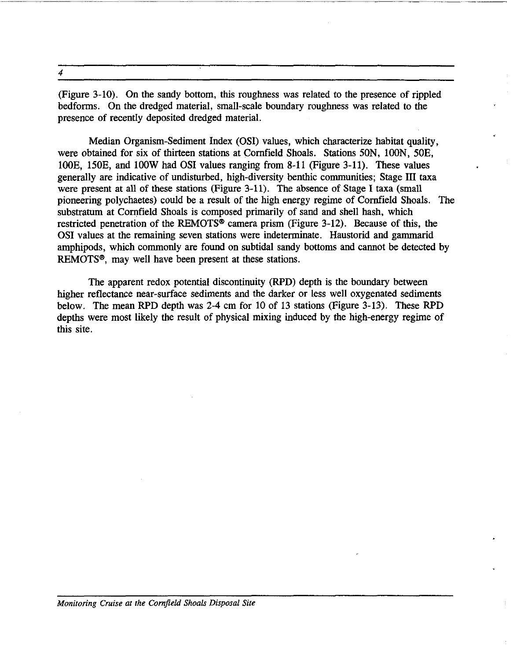4

(Figure 3-10). On the sandy bottom, this roughness was related to the presence of rippled bedforms. On the dredged material, small-scale boundary roughness was related to the presence of recently deposited dredged material.

Median Organism-Sediment Index (OSI) values, which characterize habitat quality, were obtained for six of thirteen stations at Cornfield Shoals. Stations 50N, lOON, 50E, 100E, 150E, and 100W had OSI values ranging from 8-11 (Figure 3-11). These values generally are indicative of undisturbed, high-diversity benthic communities; Stage III taxa were present at all of these stations (Figure 3-11). The absence of Stage I taxa (small pioneering polychaetes) could be a result of the high energy regime of Cornfield Shoals. The substratum at Cornfield Shoals is composed primarily of sand and shell hash, which restricted penetration of the REMOTS® camera prism (Figure 3-12). Because of this, the OSI values at the remaining seven stations were indeterminate. Haustorid and gammarid amphipods, which commonly are found on subtidal sandy bottoms and cannot be detected by REMOTS®, may well have been present at these stations.

The apparent redox potential discontinuity (RPD) depth is the boundary between higher reflectance near-surface sediments and the darker or less well oxygenated sediments below. The mean RPD depth was 2-4 em for 10 of 13 stations (Figure 3-13). These RPD depths were most likely the result of physical mixing induced by the high-energy regime of this site.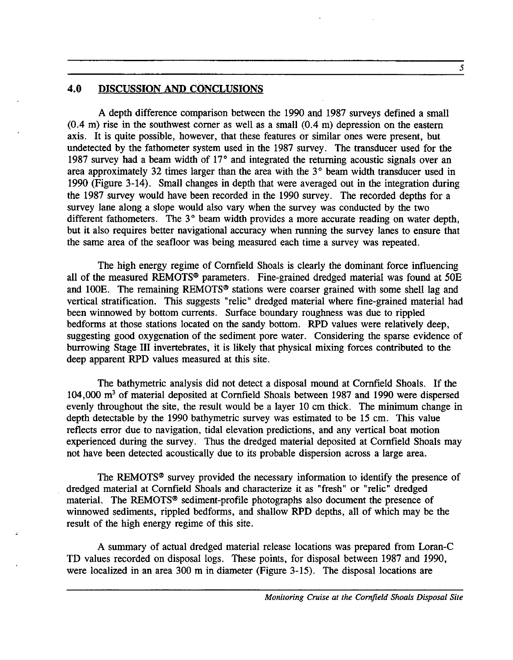#### 4.0 DISCUSSION AND CONCLUSIONS

A depth difference comparison between the 1990 and 1987 surveys defined a small  $(0.4 \text{ m})$  rise in the southwest corner as well as a small  $(0.4 \text{ m})$  depression on the eastern axis. It is quite possible, however, that these features or similar ones were present, but undetected by the fathometer system used in the 1987 survey. The transducer used for the 1987 survey had a beam width of  $17^{\circ}$  and integrated the returning acoustic signals over an area approximately 32 times larger than the area with the  $3^{\circ}$  beam width transducer used in 1990 (Figure 3-14). Small changes in depth that were averaged out in the integration during the 1987 survey would have been recorded in the 1990 survey. The recorded depths for a survey lane along a slope would also vary when the survey was conducted by the two different fathometers. The  $3^\circ$  beam width provides a more accurate reading on water depth, but it also requires better navigational accuracy when running the survey lanes to ensure that the same area of the seafloor was being measured each time a survey was repeated.

The high energy regime of Cornfield Shoals is clearly the dominant force influencing all of the measured REMOTS® parameters. Fine-grained dredged material was found at 50E and lOOE. The remaining REMOTS® stations were coarser grained with some shell lag and vertical stratification. This suggests "relic" dredged material where fine-grained material had been winnowed by bottom currents. Surface boundary roughness was due to rippled bedforms at those stations located on the sandy bottom. RPD values were relatively deep, suggesting good oxygenation of the sediment pore water. Considering the sparse evidence of burrowing Stage III invertebrates, it is likely that physical mixing forces contributed to the deep apparent RPD values measured at this site.

The bathymetric analysis did not detect a disposal mound at Cornfield Shoals. If the 104,000 m3 of material deposited at Cornfield Shoals between 1987 and 1990 were dispersed evenly throughout the site, the result would be a layer 10 cm thick. The minimum change in depth detectable by the 1990 bathymetric survey was estimated to be 15 cm. This value reflects error due to navigation, tidal elevation predictions, and any vertical boat motion experienced during the survey. Thus the dredged material deposited at Cornfield Shoals may not have been detected acoustically due to its probable dispersion across a large area.

The REMOTS® survey provided the necessary information to identify the presence of dredged material at Cornfield Shoals and characterize it as "fresh" or "relic" dredged material. The REMOTS® sediment-profile photographs also document the presence of winnowed sediments, rippled bedforms, and shallow RPD depths, all of which may be the result of the high energy regime of this site.

A summary of actual dredged material release locations was prepared from Loran-C TD values recorded on disposal logs. These points, for disposal between 1987 and 1990, were localized in an area 300 m in diameter (Figure 3-15). The disposal locations are

5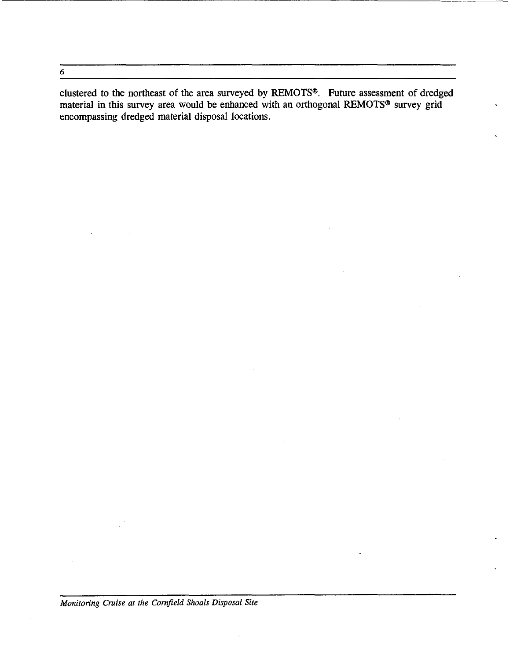6

clustered to the northeast of the area surveyed by REMOTS®. Future assessment of dredged material in this survey area would be enhanced with an orthogonal REMOTS® survey grid encompassing dredged material disposal locations.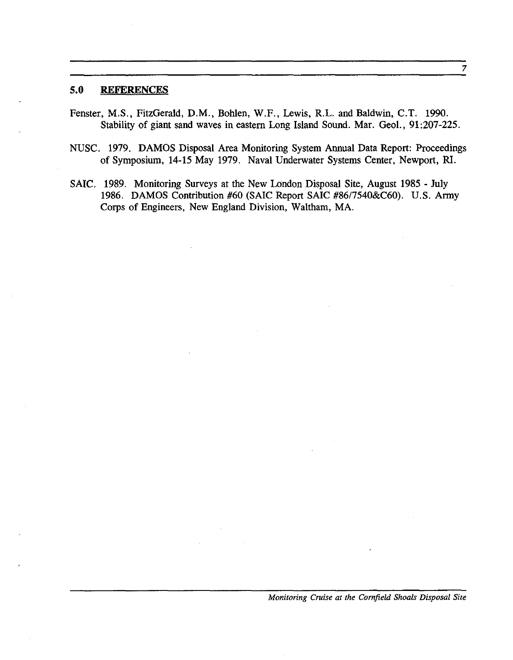#### **5.0 REFERENCES**

- Fenster, M.S., FitzGerald, D.M., Bohlen, W.F., Lewis, R.L. and Baldwin, C.T. 1990. Stability of giant sand waves in eastern Long Island Sound. Mar. Geol., 91:207-225.
- NUSC. 1979. DAMOS Disposal Area Monitoring System Annual Data Report: Proceedings of Symposium, 14-15 May 1979. Naval Underwater Systems Center, Newport, RI.
- SAIC. 1989. Monitoring Surveys at the New London Disposal Site, August 1985 July 1986. DAMOS Contribution #60 (SAIC Report SAIC *#8617540&C60).* U.S. Army Corps of Engineers, New England Division, Waltham, MA.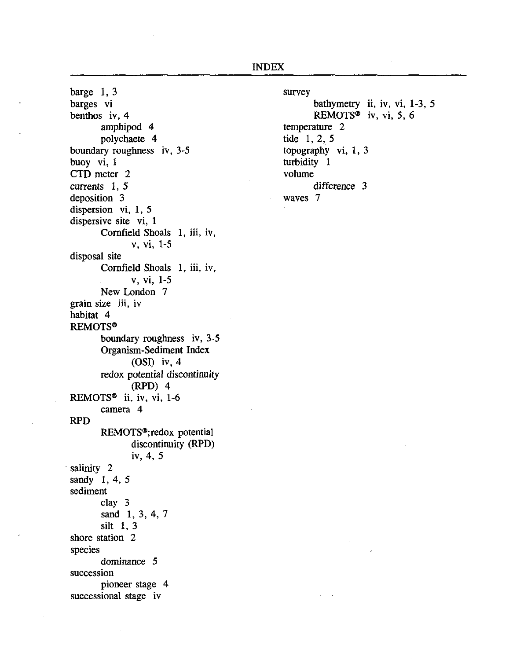INDEX

barge 1, 3 barges vi benthos iv, 4 amphipod 4 polychaete 4 boundary roughness iv, 3-5 buoy vi, 1 CTD meter 2 currents 1, 5 deposition 3 dispersion vi, 1, 5 dispersive site vi, 1 Cornfield Shoals 1, iii, iv, v, vi, 1-5 disposal site Cornfield Shoals 1, iii, iv, v, vi, 1-5 New London 7 grain size iii, iv habitat 4 REMOTS® boundary roughness iv, 3-5 Organism-Sediment Index (OSI) iv, 4 redox potential discontinuity (RPD) 4 REMOTS<sup>®</sup> ii, iv, vi,  $1-6$ RPD camera 4 REMOTS<sup>®</sup>;redox potential discontinuity (RPD) iv, 4, 5 salinity 2 sandy 1, 4, 5 sediment clay 3 sand 1, 3, 4, 7 silt 1, 3 shore station 2 species dominance 5 succession pioneer stage 4 successional stage iv

survey bathymetry ii, iv, vi, 1-3, 5 REMOTS<sup>®</sup> iv, vi, 5, 6 temperature 2 tide 1, 2, 5 topography vi, 1, 3 turbidity 1 volume difference 3 waves 7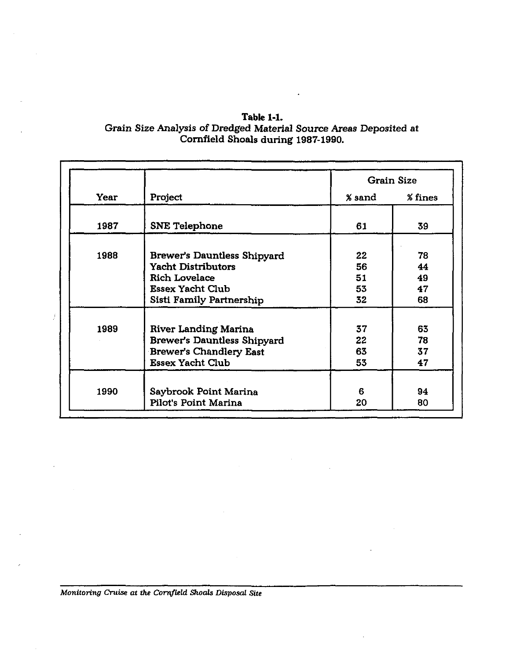| <b>Table 1-1.</b>                                                 |  |
|-------------------------------------------------------------------|--|
| Grain Size Analysis of Dredged Material Source Areas Deposited at |  |
| Cornfield Shoals during 1987-1990.                                |  |

J

|      |                                 | <b>Grain Size</b> |         |  |  |  |  |
|------|---------------------------------|-------------------|---------|--|--|--|--|
| Year | Project                         | % sand            | % fines |  |  |  |  |
| 1987 | <b>SNE Telephone</b>            | 61                | 39      |  |  |  |  |
| 1988 | Brewer's Dauntless Shipyard     | 22                | 78      |  |  |  |  |
|      | <b>Yacht Distributors</b>       | 56                | 44      |  |  |  |  |
|      | <b>Rich Lovelace</b>            | 51                | 49      |  |  |  |  |
|      | <b>Essex Yacht Club</b>         | 53                | 47      |  |  |  |  |
|      | <b>Sisti Family Partnership</b> | 32                | 68      |  |  |  |  |
| 1989 | <b>River Landing Marina</b>     | 37                | 63      |  |  |  |  |
|      | Brewer's Dauntless Shipyard     | 22                | 78      |  |  |  |  |
|      | <b>Brewer's Chandlery East</b>  | 63                | 37      |  |  |  |  |
|      | <b>Essex Yacht Club</b>         | 53                | 47      |  |  |  |  |
| 1990 | Saybrook Point Marina           | 6                 | 94      |  |  |  |  |
|      | Pilot's Point Marina            | 20                | 80      |  |  |  |  |

l,

 $\frac{1}{2}$ 

 $\ddot{\phantom{a}}$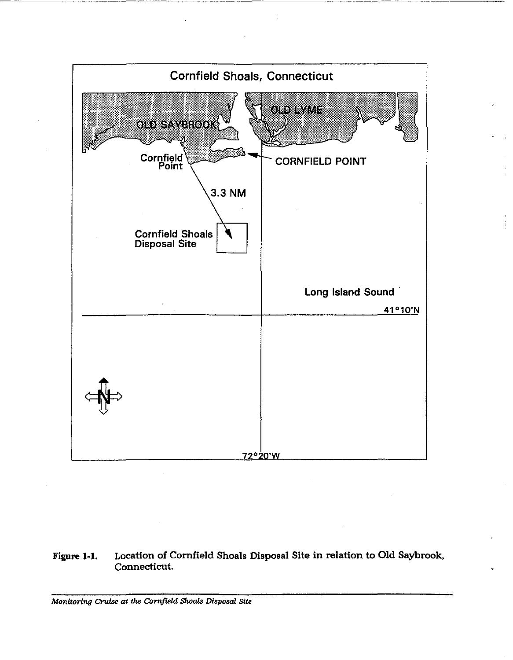

#### Figure 1-1. Location of Cornfield Shoals Disposal Site in relation to Old Saybrook, Connecticut.

*Monitoring Cruise at the Cornfield Shoals Disposal Site*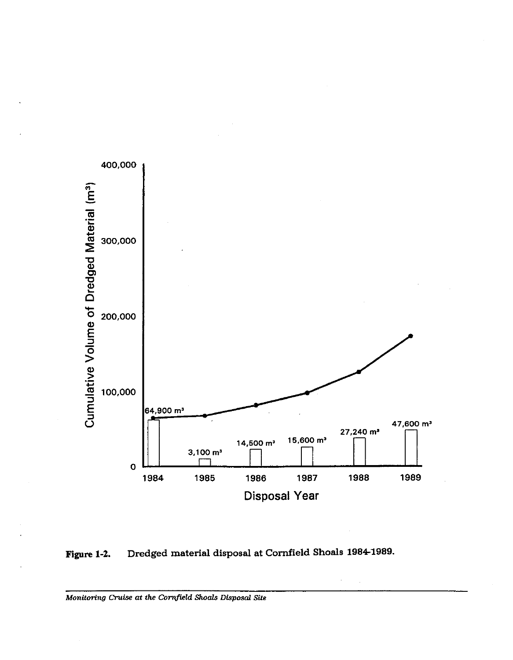

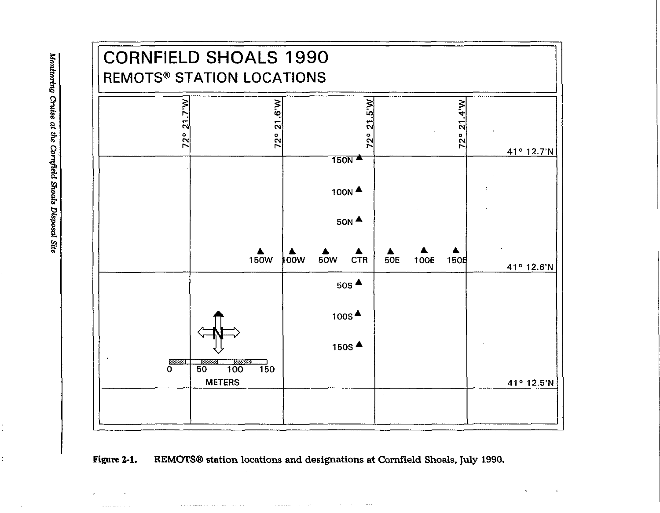

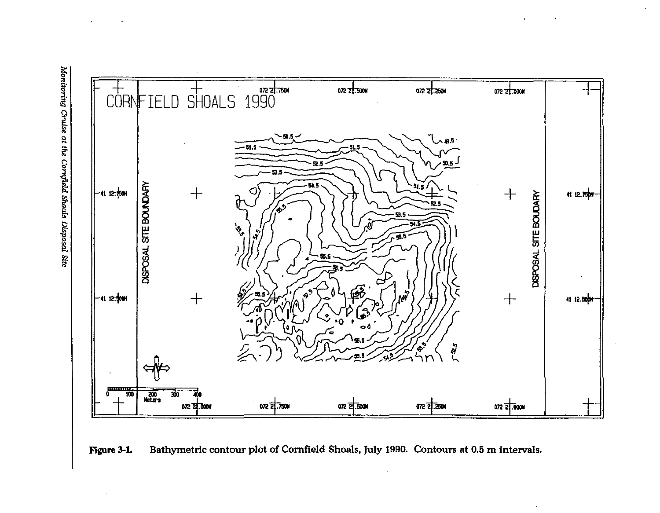Monitoring Cruise at the Cornfield Shoals Disposal Site



Bathymetric contour plot of Cornfield Shoals, July 1990. Contours at 0.5 m intervals. Figure 3-1.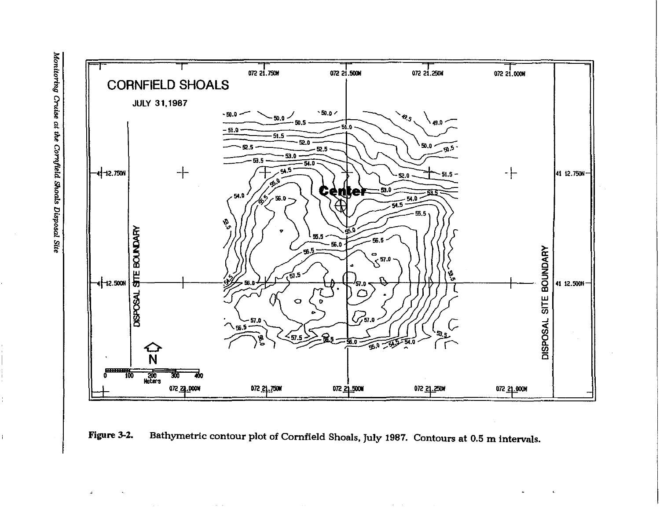



 $\alpha$  and  $\alpha$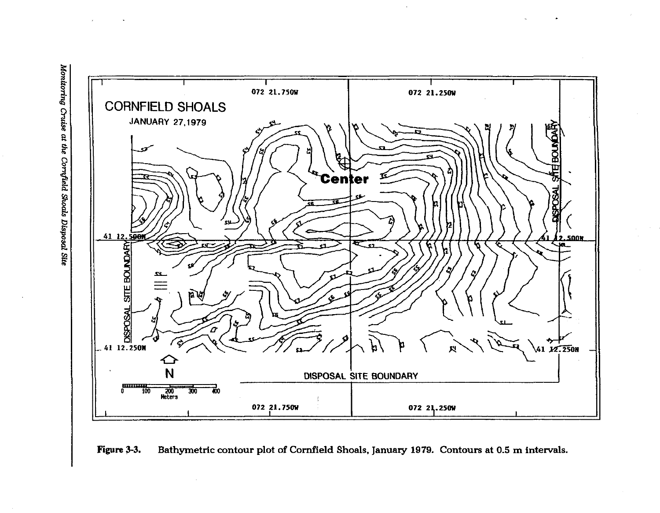



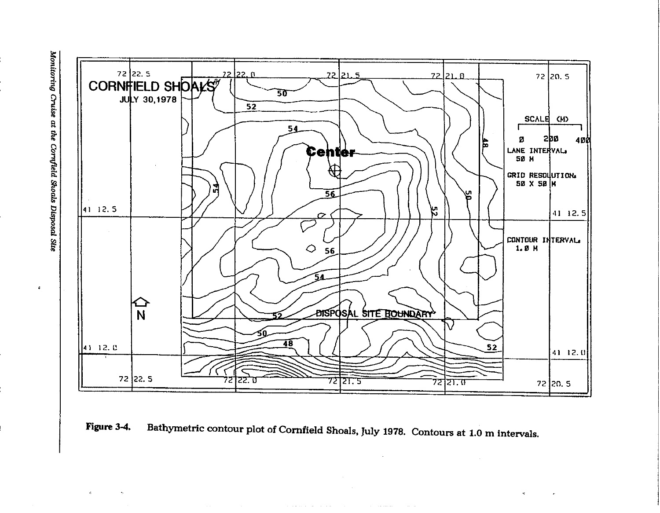$\pmb{\epsilon}$ 





and the property of the state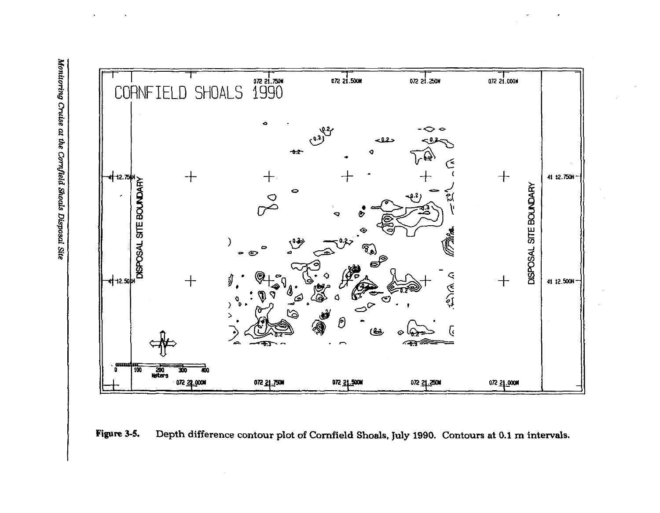

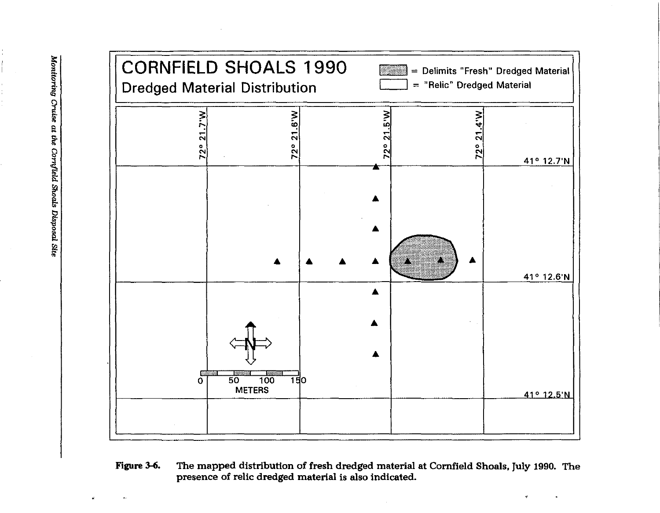

### **Figure** 3-6. The mapped distribution of fresh dredged material at Cornfield Shoals. July 1990. The presence of relic dredged material is also indicated.

Monitoring Cruise at the Cornfield Shoals Disposal Site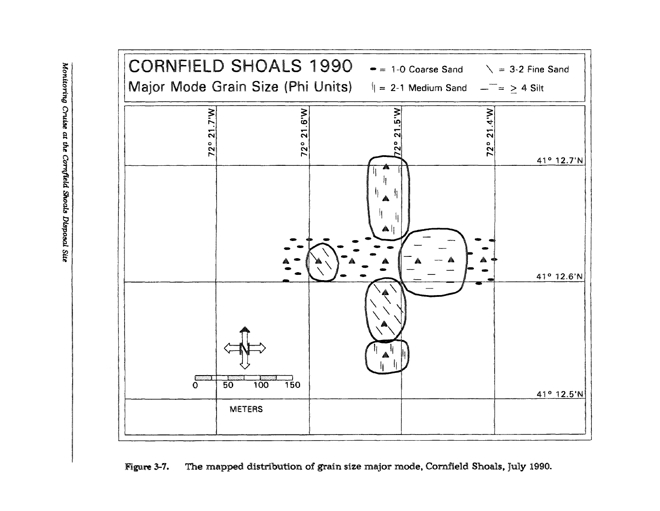

Figure 3-7. The mapped distribution of grain size major mode, Cornfield Shoals, July 1990.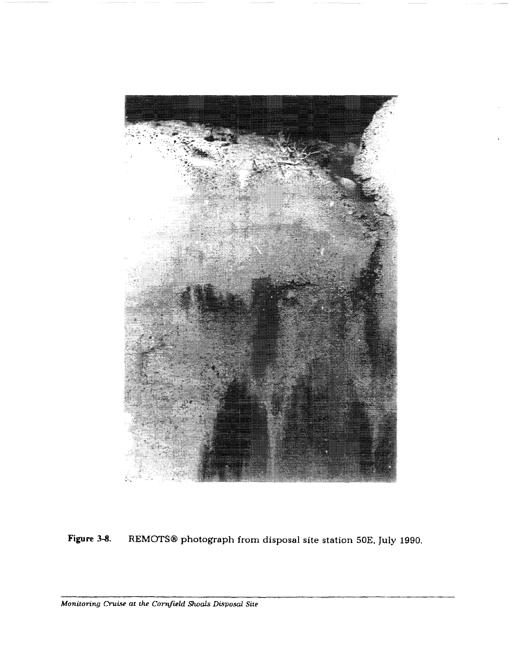

Figure 3-8. REMOTS® photograph from disposal site station 50E, July 1990.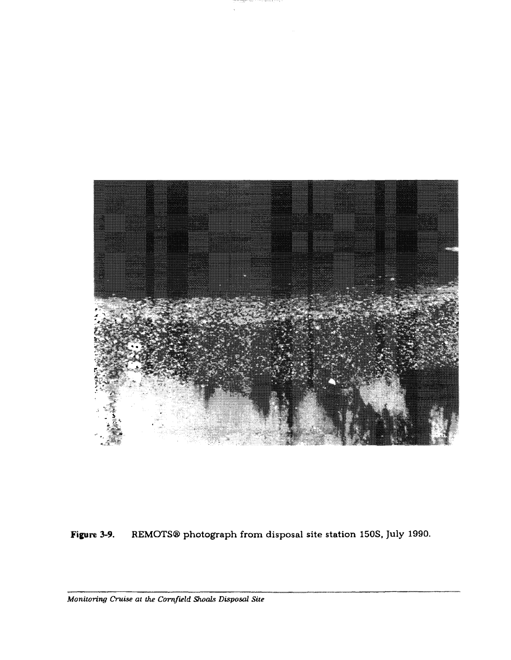

Figure 3-9. REMOTS<sup>®</sup> photograph from disposal site station 150S, July 1990.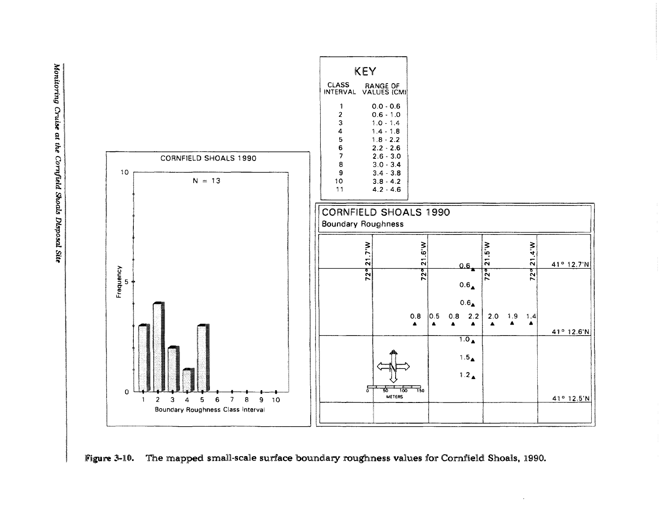

Figure 3-10. The mapped small-scale surface boundary roughness values for Cornfield Shoals, 1990.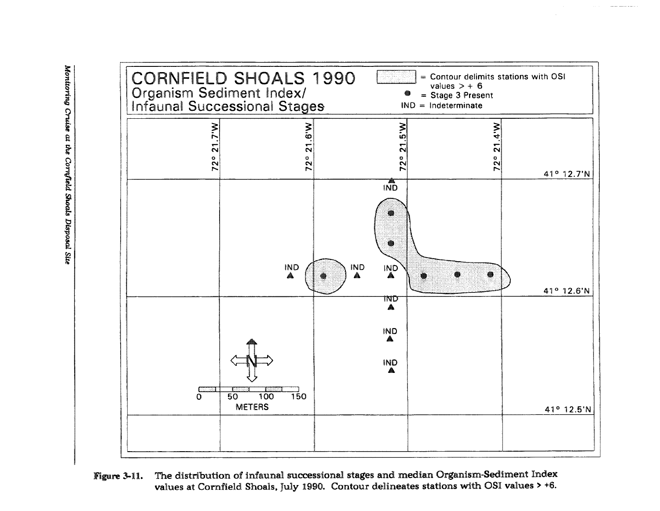

The distribution of infaunal successional stages and median Organism-Sediment Index Figure 3-11. values at Cornfield Shoals, July 1990. Contour delineates stations with OSI values > +6.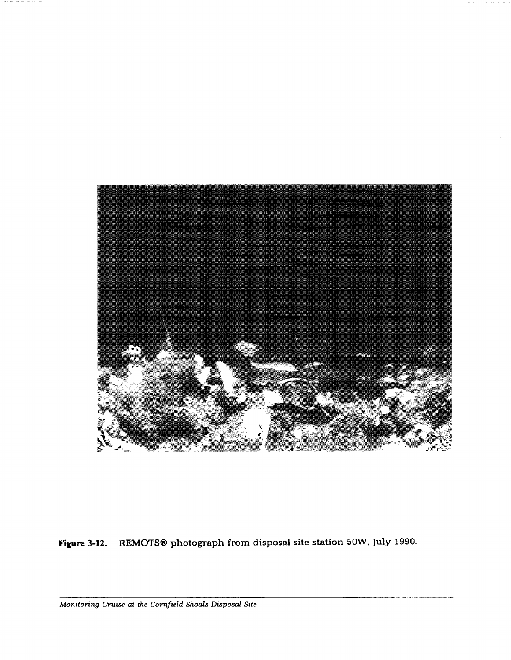

**Figure 3-12.** REMOTS® photograph from disposal site station 50W, July 1990.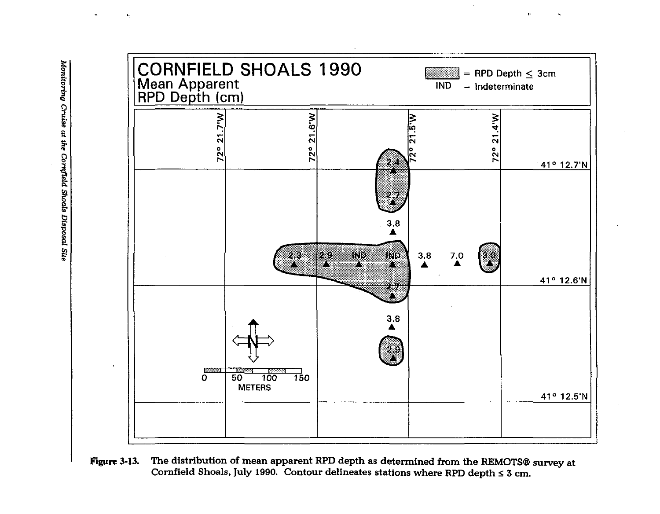

The distribution of mean apparent RPD depth as determined from the REMOTS® survey at Figure 3-13. Cornfield Shoals, July 1990. Contour delineates stations where RPD depth  $\leq 3$  cm.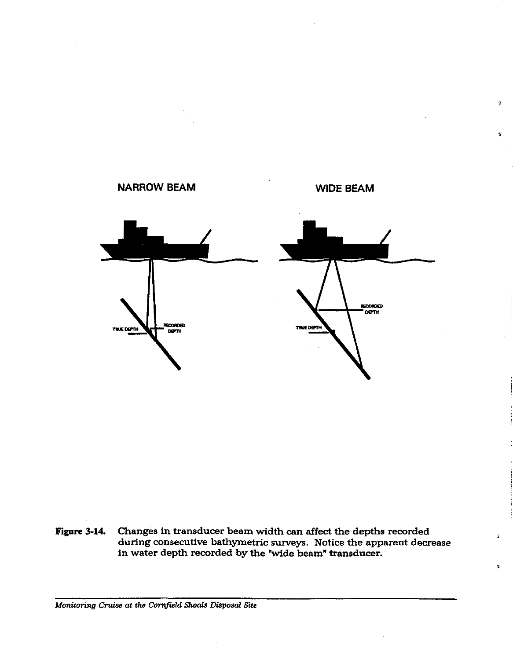

**Figure 3-14.** Changes in transducer beam width can affect the depths recorded during consecutive bathymetric surveys. Notice the apparent decrease in water depth recorded by the "wide beam" transducer.

,

ś

Ť

1

*Monitoring Cruise at the Cornfield Shoals Disposal Site*